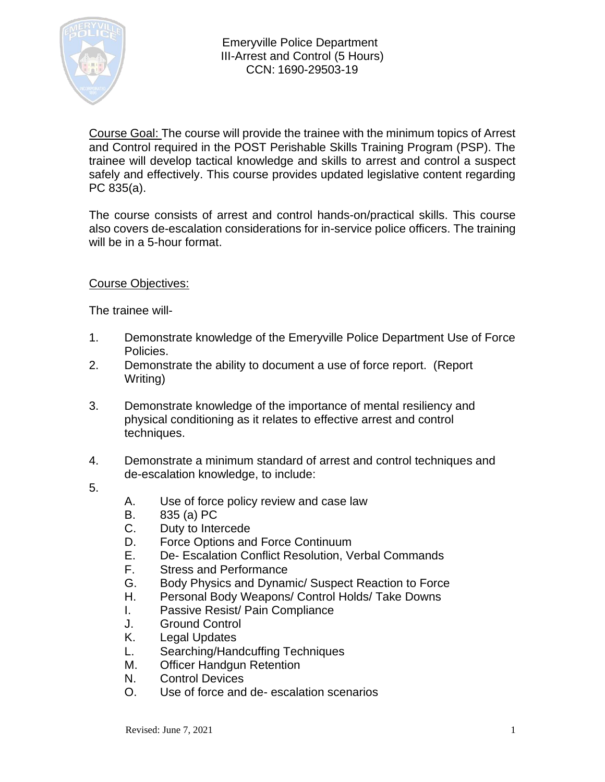

Course Goal: The course will provide the trainee with the minimum topics of Arrest and Control required in the POST Perishable Skills Training Program (PSP). The trainee will develop tactical knowledge and skills to arrest and control a suspect safely and effectively. This course provides updated legislative content regarding PC 835(a).

The course consists of arrest and control hands-on/practical skills. This course also covers de-escalation considerations for in-service police officers. The training will be in a 5-hour format.

## Course Objectives:

The trainee will-

- 1. Demonstrate knowledge of the Emeryville Police Department Use of Force Policies.
- 2. Demonstrate the ability to document a use of force report. (Report Writing)
- 3. Demonstrate knowledge of the importance of mental resiliency and physical conditioning as it relates to effective arrest and control techniques.
- 4. Demonstrate a minimum standard of arrest and control techniques and de-escalation knowledge, to include:
- 5.
- A. Use of force policy review and case law
- B. 835 (a) PC
- C. Duty to Intercede
- D. Force Options and Force Continuum
- E. De- Escalation Conflict Resolution, Verbal Commands
- F. Stress and Performance
- G. Body Physics and Dynamic/ Suspect Reaction to Force
- H. Personal Body Weapons/ Control Holds/ Take Downs
- I. Passive Resist/ Pain Compliance
- J. Ground Control
- K. Legal Updates
- L. Searching/Handcuffing Techniques
- M. Officer Handgun Retention
- N. Control Devices
- O. Use of force and de- escalation scenarios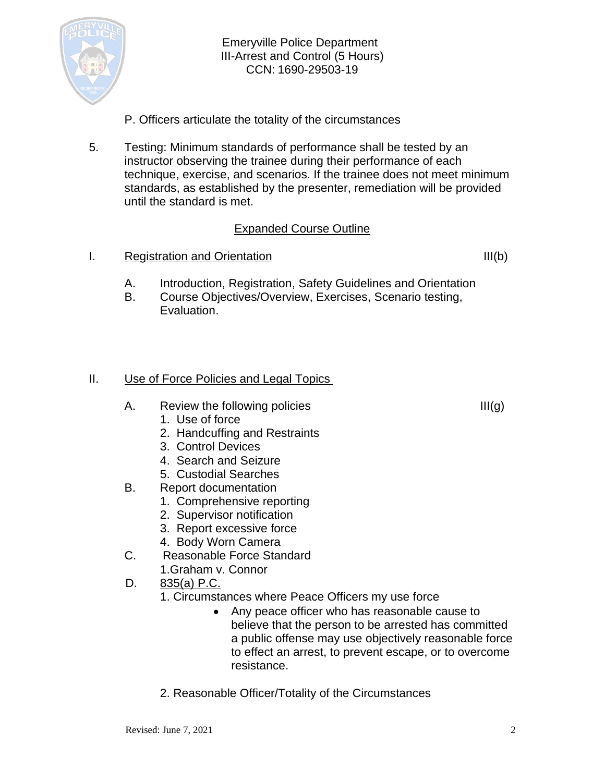

- P. Officers articulate the totality of the circumstances
- 5. Testing: Minimum standards of performance shall be tested by an instructor observing the trainee during their performance of each technique, exercise, and scenarios. If the trainee does not meet minimum standards, as established by the presenter, remediation will be provided until the standard is met.

## Expanded Course Outline

I. Registration and Orientation III(b)

- A. Introduction, Registration, Safety Guidelines and Orientation
- B. Course Objectives/Overview, Exercises, Scenario testing, Evaluation.

# II. Use of Force Policies and Legal Topics

- A. Review the following policies  $III(g)$ 
	- 1. Use of force
	- 2. Handcuffing and Restraints
	- 3. Control Devices
	- 4. Search and Seizure
	- 5. Custodial Searches
- B. Report documentation
	- 1. Comprehensive reporting
	- 2. Supervisor notification
	- 3. Report excessive force
	- 4. Body Worn Camera
- C. Reasonable Force Standard
	- 1.Graham v. Connor
- D. 835(a) P.C.
	- 1. Circumstances where Peace Officers my use force
		- Any peace officer who has reasonable cause to believe that the person to be arrested has committed a public offense may use objectively reasonable force to effect an arrest, to prevent escape, or to overcome resistance.
	- 2. Reasonable Officer/Totality of the Circumstances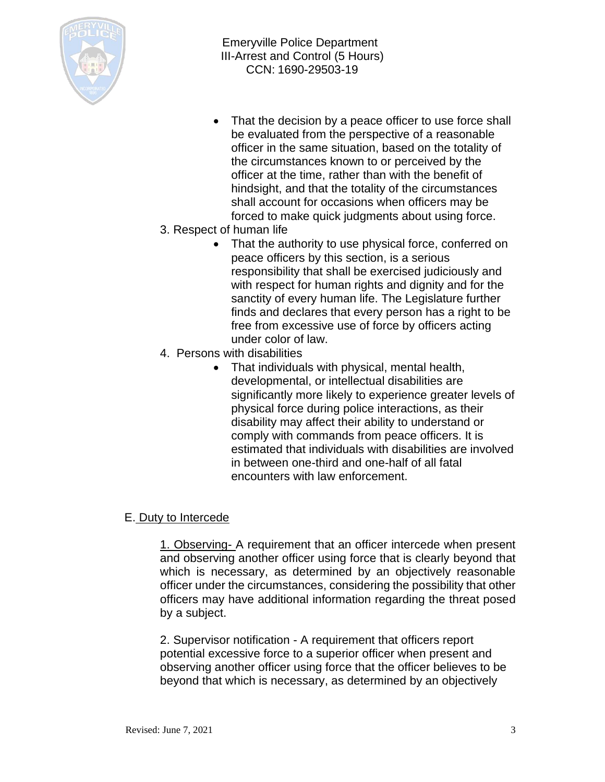

- That the decision by a peace officer to use force shall be evaluated from the perspective of a reasonable officer in the same situation, based on the totality of the circumstances known to or perceived by the officer at the time, rather than with the benefit of hindsight, and that the totality of the circumstances shall account for occasions when officers may be forced to make quick judgments about using force.
- 3. Respect of human life
	- That the authority to use physical force, conferred on peace officers by this section, is a serious responsibility that shall be exercised judiciously and with respect for human rights and dignity and for the sanctity of every human life. The Legislature further finds and declares that every person has a right to be free from excessive use of force by officers acting under color of law.
- 4. Persons with disabilities
	- That individuals with physical, mental health, developmental, or intellectual disabilities are significantly more likely to experience greater levels of physical force during police interactions, as their disability may affect their ability to understand or comply with commands from peace officers. It is estimated that individuals with disabilities are involved in between one-third and one-half of all fatal encounters with law enforcement.

# E. Duty to Intercede

1. Observing- A requirement that an officer intercede when present and observing another officer using force that is clearly beyond that which is necessary, as determined by an objectively reasonable officer under the circumstances, considering the possibility that other officers may have additional information regarding the threat posed by a subject.

2. Supervisor notification - A requirement that officers report potential excessive force to a superior officer when present and observing another officer using force that the officer believes to be beyond that which is necessary, as determined by an objectively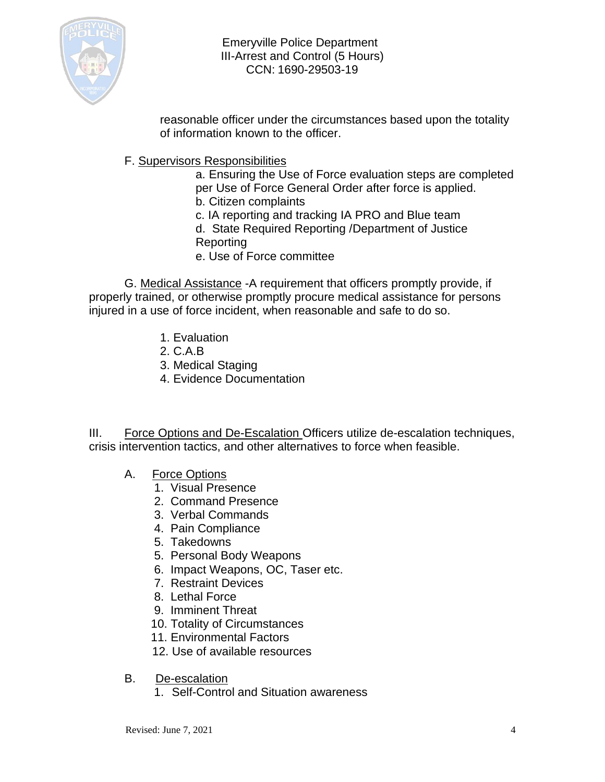

reasonable officer under the circumstances based upon the totality of information known to the officer.

F. Supervisors Responsibilities

a. Ensuring the Use of Force evaluation steps are completed per Use of Force General Order after force is applied.

- b. Citizen complaints
- c. IA reporting and tracking IA PRO and Blue team
- d. State Required Reporting /Department of Justice Reporting
- e. Use of Force committee

G. Medical Assistance -A requirement that officers promptly provide, if properly trained, or otherwise promptly procure medical assistance for persons injured in a use of force incident, when reasonable and safe to do so.

- 1. Evaluation
- 2. C.A.B
- 3. Medical Staging
- 4. Evidence Documentation

III. Force Options and De-Escalation Officers utilize de-escalation techniques, crisis intervention tactics, and other alternatives to force when feasible.

- A. Force Options
	- 1. Visual Presence
	- 2. Command Presence
	- 3. Verbal Commands
	- 4. Pain Compliance
	- 5. Takedowns
	- 5. Personal Body Weapons
	- 6. Impact Weapons, OC, Taser etc.
	- 7. Restraint Devices
	- 8. Lethal Force
	- 9. Imminent Threat
	- 10. Totality of Circumstances
	- 11. Environmental Factors
	- 12. Use of available resources
- B. De-escalation
	- 1. Self-Control and Situation awareness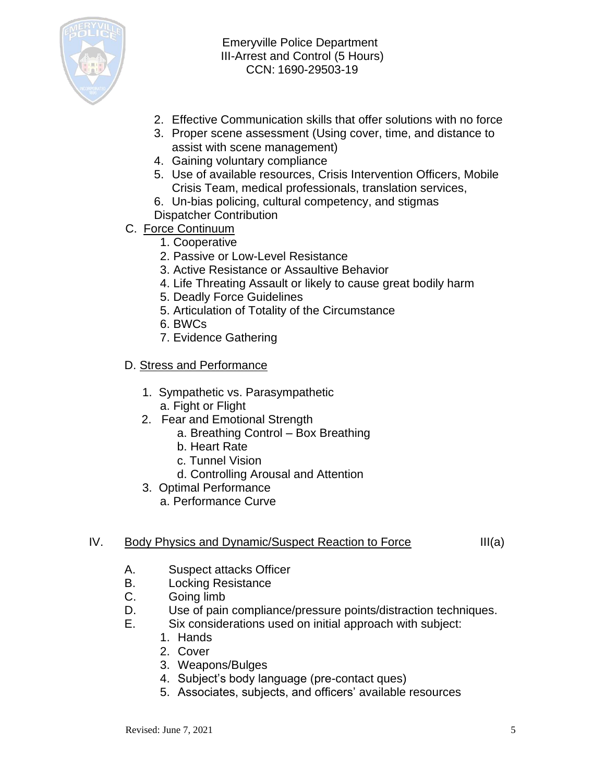

- 2. Effective Communication skills that offer solutions with no force
- 3. Proper scene assessment (Using cover, time, and distance to assist with scene management)
- 4. Gaining voluntary compliance
- 5. Use of available resources, Crisis Intervention Officers, Mobile Crisis Team, medical professionals, translation services,
- 6. Un-bias policing, cultural competency, and stigmas
- Dispatcher Contribution
- C. Force Continuum
	- 1. Cooperative
	- 2. Passive or Low-Level Resistance
	- 3. Active Resistance or Assaultive Behavior
	- 4. Life Threating Assault or likely to cause great bodily harm
	- 5. Deadly Force Guidelines
	- 5. Articulation of Totality of the Circumstance
	- 6. BWCs
	- 7. Evidence Gathering

#### D. Stress and Performance

- 1. Sympathetic vs. Parasympathetic a. Fight or Flight
- 2. Fear and Emotional Strength
	- a. Breathing Control Box Breathing
	- b. Heart Rate
	- c. Tunnel Vision
	- d. Controlling Arousal and Attention
- 3. Optimal Performance
	- a. Performance Curve

## IV. Body Physics and Dynamic/Suspect Reaction to Force III(a)

- A. Suspect attacks Officer
- B. Locking Resistance
- C. Going limb
- D. Use of pain compliance/pressure points/distraction techniques.
- E. Six considerations used on initial approach with subject:
	- 1. Hands
	- 2. Cover
	- 3. Weapons/Bulges
	- 4. Subject's body language (pre-contact ques)
	- 5. Associates, subjects, and officers' available resources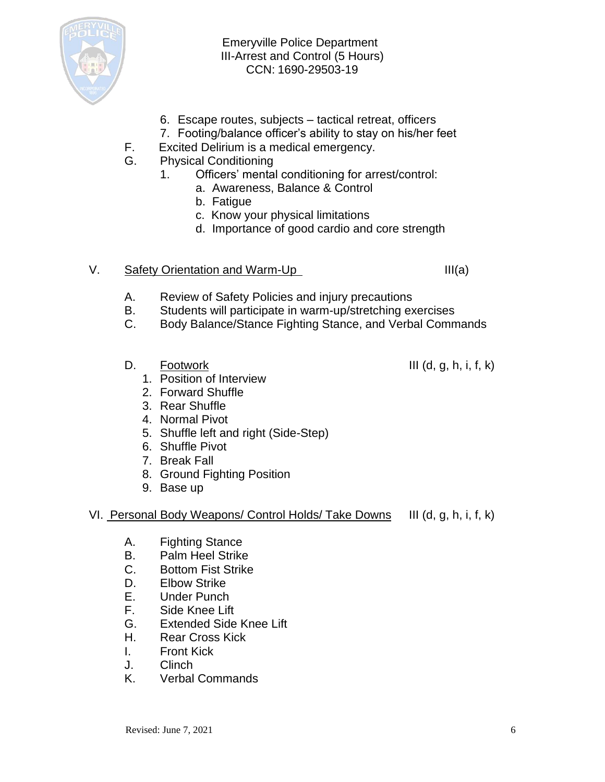

- 6. Escape routes, subjects tactical retreat, officers
- 7. Footing/balance officer's ability to stay on his/her feet
- F. Excited Delirium is a medical emergency.
- G. Physical Conditioning
	- 1. Officers' mental conditioning for arrest/control:
		- a. Awareness, Balance & Control
		- b. Fatigue
		- c. Know your physical limitations
		- d. Importance of good cardio and core strength

#### V. Safety Orientation and Warm-Up III(a)

- A. Review of Safety Policies and injury precautions
- B. Students will participate in warm-up/stretching exercises
- C. Body Balance/Stance Fighting Stance, and Verbal Commands
- D. Footwork III (d, g, h, i, f, k)
	- 1. Position of Interview
	- 2. Forward Shuffle
	- 3. Rear Shuffle
	- 4. Normal Pivot
	- 5. Shuffle left and right (Side-Step)
	- 6. Shuffle Pivot
	- 7. Break Fall
	- 8. Ground Fighting Position
	- 9. Base up
- VI. Personal Body Weapons/ Control Holds/ Take Downs III (d, g, h, i, f, k)
	- A. Fighting Stance
	- B. Palm Heel Strike
	- C. Bottom Fist Strike
	- D. Elbow Strike
	- E. Under Punch
	- F. Side Knee Lift
	- G. Extended Side Knee Lift
	- H. Rear Cross Kick
	- I. Front Kick
	- J. Clinch
	- K. Verbal Commands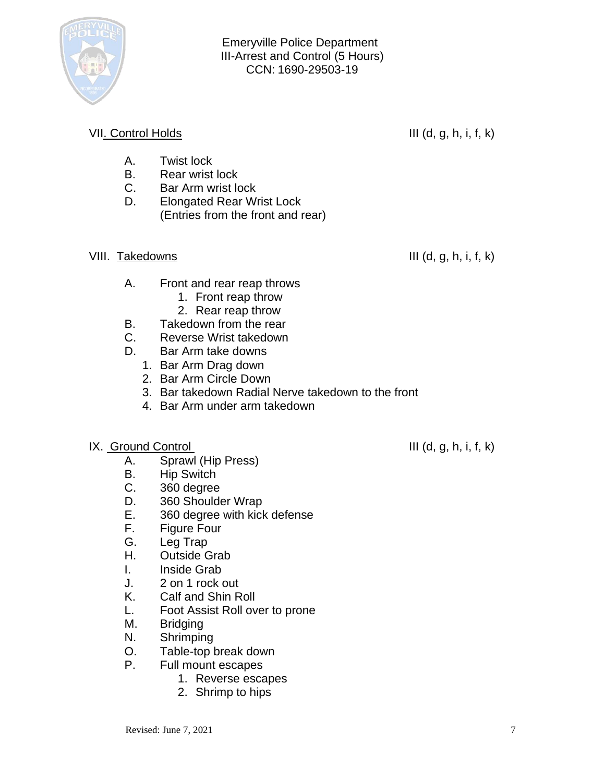

# VII. Control Holds III (d, g, h, i, f, k)

- A. Twist lock
- B. Rear wrist lock
- C. Bar Arm wrist lock
- D. Elongated Rear Wrist Lock (Entries from the front and rear)

# VIII. Takedowns III (d, g, h, i, f, k)

- A. Front and rear reap throws
	- 1. Front reap throw
	- 2. Rear reap throw
- B. Takedown from the rear
- C. Reverse Wrist takedown
- D. Bar Arm take downs
	- 1. Bar Arm Drag down
	- 2. Bar Arm Circle Down
	- 3. Bar takedown Radial Nerve takedown to the front
	- 4. Bar Arm under arm takedown
- $IX.$  Ground Control  $III(d, g, h, i, f, k)$ 
	- A. Sprawl (Hip Press)
	- B. Hip Switch
	- C. 360 degree
	- D. 360 Shoulder Wrap
	- E. 360 degree with kick defense
	- F. Figure Four
	- G. Leg Trap
	- H. Outside Grab
	- I. Inside Grab
	- J. 2 on 1 rock out
	- K. Calf and Shin Roll
	- L. Foot Assist Roll over to prone
	- M. Bridging
	- N. Shrimping
	- O. Table-top break down
	- P. Full mount escapes
		- 1. Reverse escapes
		- 2. Shrimp to hips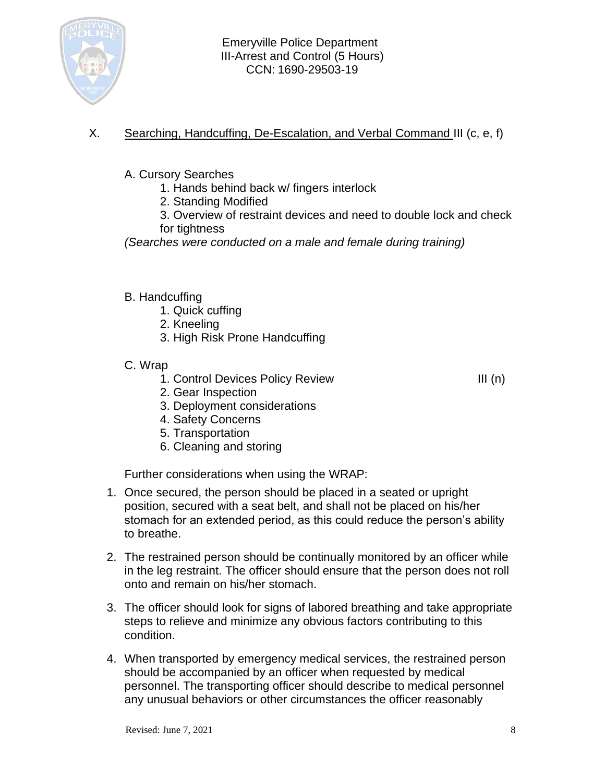

- X. Searching, Handcuffing, De-Escalation, and Verbal Command III (c, e, f)
	- A. Cursory Searches
		- 1. Hands behind back w/ fingers interlock
		- 2. Standing Modified
		- 3. Overview of restraint devices and need to double lock and check for tightness

*(Searches were conducted on a male and female during training)*

## B. Handcuffing

- 1. Quick cuffing
- 2. Kneeling
- 3. High Risk Prone Handcuffing
- C. Wrap
	- 1. Control Devices Policy Review III (n)

- 2. Gear Inspection
- 3. Deployment considerations
- 4. Safety Concerns
- 5. Transportation
- 6. Cleaning and storing

Further considerations when using the WRAP:

- 1. Once secured, the person should be placed in a seated or upright position, secured with a seat belt, and shall not be placed on his/her stomach for an extended period, as this could reduce the person's ability to breathe.
- 2. The restrained person should be continually monitored by an officer while in the leg restraint. The officer should ensure that the person does not roll onto and remain on his/her stomach.
- 3. The officer should look for signs of labored breathing and take appropriate steps to relieve and minimize any obvious factors contributing to this condition.
- 4. When transported by emergency medical services, the restrained person should be accompanied by an officer when requested by medical personnel. The transporting officer should describe to medical personnel any unusual behaviors or other circumstances the officer reasonably